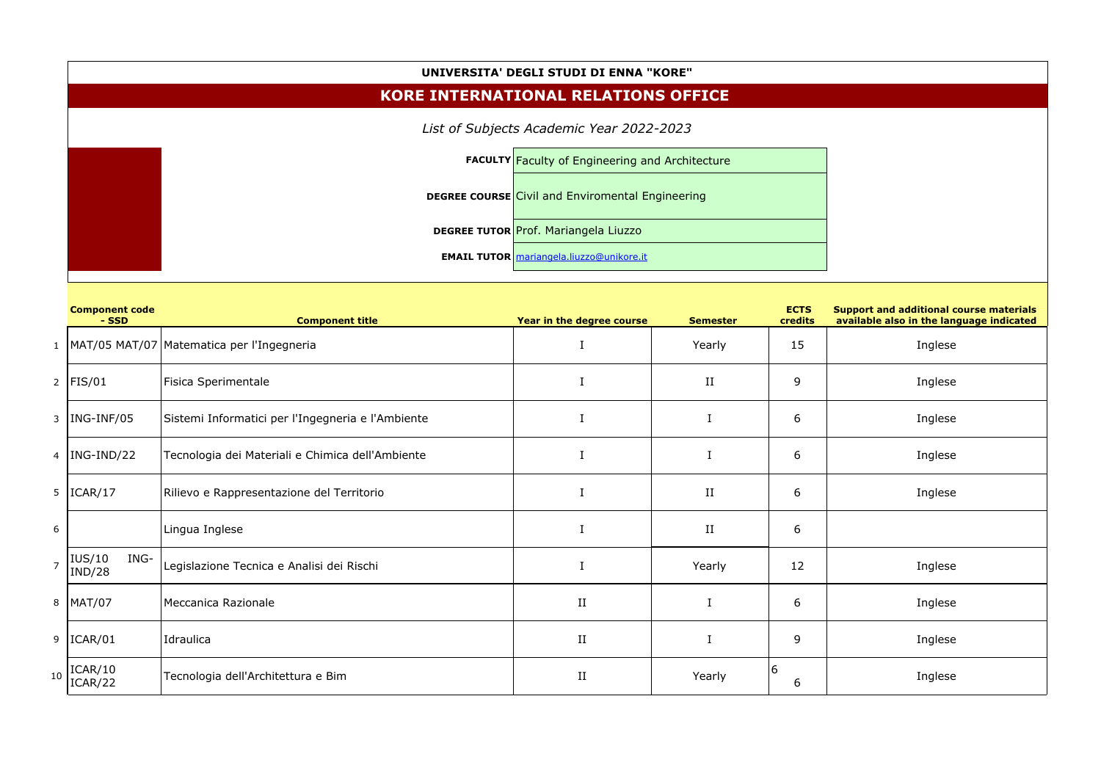## **UNIVERSITA' DEGLI STUDI DI ENNA "KORE"**

## **KORE INTERNATIONAL RELATIONS OFFICE**

| <b>FACULTY Faculty of Engineering and Architecture</b>  |  |  |  |  |
|---------------------------------------------------------|--|--|--|--|
| <b>DEGREE COURSE Civil and Enviromental Engineering</b> |  |  |  |  |
| <b>DEGREE TUTOR</b> Prof. Mariangela Liuzzo             |  |  |  |  |
| <b>EMAIL TUTOR</b> mariangela.liuzzo@unikore.it         |  |  |  |  |

|                 | KORE INTERNATIONAL RELATIONS OFFICE |                                                         |                                                 |                 |                        |                                                                                            |  |  |
|-----------------|-------------------------------------|---------------------------------------------------------|-------------------------------------------------|-----------------|------------------------|--------------------------------------------------------------------------------------------|--|--|
|                 |                                     |                                                         |                                                 |                 |                        |                                                                                            |  |  |
|                 |                                     | <b>FACULTY Faculty of Engineering and Architecture</b>  |                                                 |                 |                        |                                                                                            |  |  |
|                 |                                     | <b>DEGREE COURSE Civil and Enviromental Engineering</b> |                                                 |                 |                        |                                                                                            |  |  |
|                 |                                     | <b>DEGREE TUTOR Prof. Mariangela Liuzzo</b>             |                                                 |                 |                        |                                                                                            |  |  |
|                 |                                     |                                                         | <b>EMAIL TUTOR</b> mariangela.liuzzo@unikore.it |                 |                        |                                                                                            |  |  |
|                 | <b>Component code</b><br>- SSD      | <b>Component title</b>                                  | Year in the degree course                       | <b>Semester</b> | <b>ECTS</b><br>credits | <b>Support and additional course materials</b><br>available also in the language indicated |  |  |
|                 |                                     | 1   MAT/05 MAT/07   Matematica per l'Ingegneria         |                                                 | Yearly          | 15                     | Inglese                                                                                    |  |  |
|                 | 2   $FIS/01$                        | Fisica Sperimentale                                     |                                                 | $_{\rm II}$     | 9                      | Inglese                                                                                    |  |  |
| $\mathbf{3}$    | $\vert$ ING-INF/05                  | Sistemi Informatici per l'Ingegneria e l'Ambiente       |                                                 |                 | 6                      | Inglese                                                                                    |  |  |
|                 | $4$  ING-IND/22                     | Tecnologia dei Materiali e Chimica dell'Ambiente        |                                                 |                 | 6                      | Inglese                                                                                    |  |  |
|                 | $5$  ICAR/17                        | Rilievo e Rappresentazione del Territorio               |                                                 | $_{\rm II}$     | 6                      | Inglese                                                                                    |  |  |
| $6\phantom{.}6$ |                                     | Lingua Inglese                                          |                                                 | $\rm II$        | 6                      |                                                                                            |  |  |
| $\overline{7}$  | IUS/10<br> IND/28<br>ING-           | Legislazione Tecnica e Analisi dei Rischi               |                                                 | Yearly          | 12                     | Inglese                                                                                    |  |  |
|                 | 8   MAT/07                          | Meccanica Razionale                                     | $\;$ II                                         |                 | 6                      | Inglese                                                                                    |  |  |
|                 | 9  ICAR/01                          | Idraulica                                               | $\;$ II                                         |                 | 9                      | Inglese                                                                                    |  |  |
| $10$            | ICAR/10<br>ICAR/22                  | Tecnologia dell'Architettura e Bim                      | $\;$ II                                         | Yearly          | 6<br>6                 | Inglese                                                                                    |  |  |